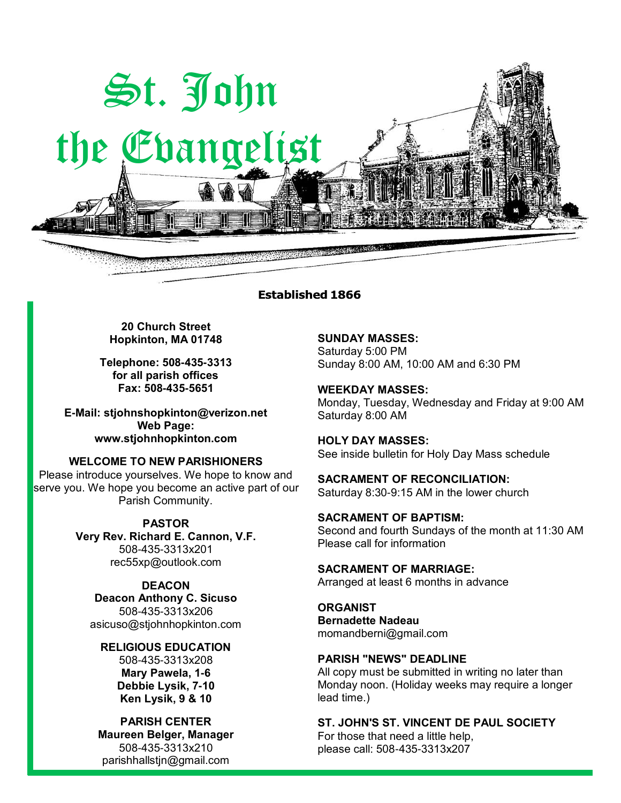

### **Established 1866**

**20 Church Street Hopkinton, MA 01748**

**Telephone: 508-435-3313 for all parish offices Fax: 508-435-5651**

**E-Mail: [stjohnshopkinton@verizon.net](mailto:stjohnshopkinton@verizon.net) Web Page: [www.stjohnhopkinton.com](http://www.stjohnhopkinton.com/)**

**WELCOME TO NEW PARISHIONERS**

Please introduce yourselves. We hope to know and serve you. We hope you become an active part of our Parish Community.

> **PASTOR Very Rev. Richard E. Cannon, V.F.** 508-435-3313x201 [rec55xp@outlook.com](mailto:rec55xp@outlook.com)

**DEACON Deacon Anthony C. Sicuso** 508-435-3313x206 [asicuso@stjohnhopkinton.com](mailto:asicuso@stjohnhopkinton.com)

**RELIGIOUS EDUCATION** 508-435-3313x208 **Mary Pawela, 1-6 Debbie Lysik, 7-10 Ken Lysik, 9 & 10**

**PARISH CENTER Maureen Belger, Manager** 508-435-3313x210 [parishhallstjn@gmail.com](mailto:parishhallstjn@gmail.com)

**SUNDAY MASSES:** Saturday 5:00 PM Sunday 8:00 AM, 10:00 AM and 6:30 PM

**WEEKDAY MASSES:** Monday, Tuesday, Wednesday and Friday at 9:00 AM Saturday 8:00 AM

**HOLY DAY MASSES:** See inside bulletin for Holy Day Mass schedule

**SACRAMENT OF RECONCILIATION:** Saturday 8:30-9:15 AM in the lower church

**SACRAMENT OF BAPTISM:** Second and fourth Sundays of the month at 11:30 AM Please call for information

**SACRAMENT OF MARRIAGE:** Arranged at least 6 months in advance

**ORGANIST Bernadette Nadeau** momandberni@gmail.com

### **PARISH "NEWS" DEADLINE**

All copy must be submitted in writing no later than Monday noon. (Holiday weeks may require a longer lead time.)

### **ST. JOHN'S ST. VINCENT DE PAUL SOCIETY**

For those that need a little help, please call: 508-435-3313x207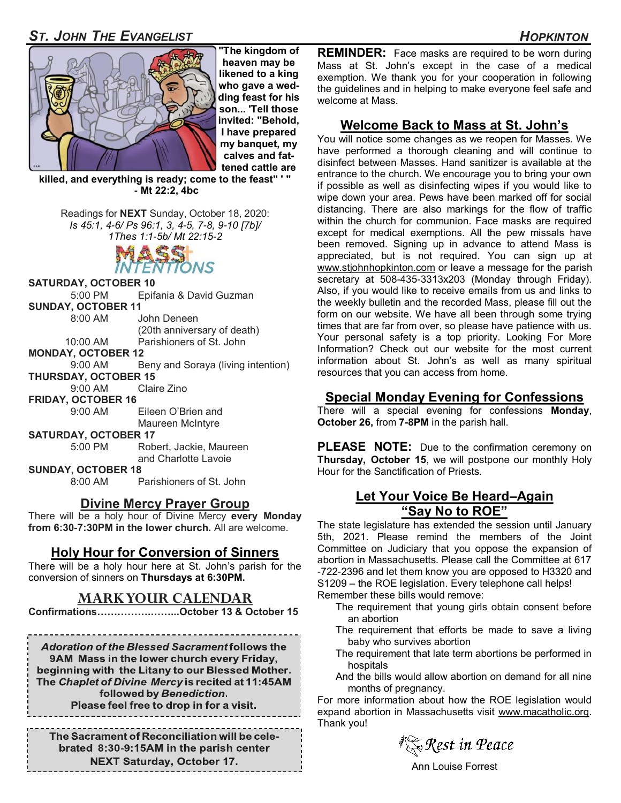# *ST. JOHN THE EVANGELIST HOPKINTON*



**"The kingdom of heaven may be likened to a king who gave a wedding feast for his son... 'Tell those invited: "Behold, I have prepared my banquet, my calves and fattened cattle are** 

**killed, and everything is ready; come to the feast" ' " - Mt 22:2, 4bc** 

Readings for **NEXT** Sunday, October 18, 2020: *Is 45:1, 4-6/ Ps 96:1, 3, 4-5, 7-8, 9-10 [7b]/ 1Thes 1:1-5b/ Mt 22:15-2* 



**SATURDAY, OCTOBER 10**

5:00 PM Epifania & David Guzman

**SUNDAY, OCTOBER 11**

 8:00 AM John Deneen (20th anniversary of death)

10:00 AM Parishioners of St. John

**MONDAY, OCTOBER 12**

9:00 AM Beny and Soraya (living intention)

**THURSDAY, OCTOBER 15**

9:00 AM Claire Zino

**FRIDAY, OCTOBER 16**

 9:00 AM Eileen O'Brien and Maureen McIntyre

**SATURDAY, OCTOBER 17**

Robert, Jackie, Maureen and Charlotte Lavoie

**SUNDAY, OCTOBER 18**

8:00 AM Parishioners of St. John

## **Divine Mercy Prayer Group**

There will be a holy hour of Divine Mercy **every Monday from 6:30-7:30PM in the lower church.** All are welcome.

## **Holy Hour for Conversion of Sinners**

There will be a holy hour here at St. John's parish for the conversion of sinners on **Thursdays at 6:30PM.**

## **MARK YOUR CALENDAR**

**Confirmations…………….……...October 13 & October 15**

**Adoration of the Blessed Sacrament follows the** 9AM Mass in the lower church every Friday, beginning with the Litany to our Blessed Mother. The Chaplet of Divine Mercy is recited at 11:45AM followed by Benediction. Please feel free to drop in for a visit.

The Sacrament of Reconciliation will be celebrated 8:30-9:15AM in the parish center **NEXT Saturday, October 17.** 

**REMINDER:** Face masks are required to be worn during Mass at St. John's except in the case of a medical exemption. We thank you for your cooperation in following the guidelines and in helping to make everyone feel safe and welcome at Mass.

# **Welcome Back to Mass at St. John's**

You will notice some changes as we reopen for Masses. We have performed a thorough cleaning and will continue to disinfect between Masses. Hand sanitizer is available at the entrance to the church. We encourage you to bring your own if possible as well as disinfecting wipes if you would like to wipe down your area. Pews have been marked off for social distancing. There are also markings for the flow of traffic within the church for communion. Face masks are required except for medical exemptions. All the pew missals have been removed. Signing up in advance to attend Mass is appreciated, but is not required. You can sign up at [www.stjohnhopkinton.com](http://www.stjohnhopkinton.com) or leave a message for the parish secretary at 508-435-3313x203 (Monday through Friday). Also, if you would like to receive emails from us and links to the weekly bulletin and the recorded Mass, please fill out the form on our website. We have all been through some trying times that are far from over, so please have patience with us. Your personal safety is a top priority. Looking For More Information? Check out our website for the most current information about St. John's as well as many spiritual resources that you can access from home.

# **Special Monday Evening for Confessions**

There will a special evening for confessions **Monday**, **October 26,** from **7-8PM** in the parish hall.

**PLEASE NOTE:** Due to the confirmation ceremony on **Thursday, October 15**, we will postpone our monthly Holy Hour for the Sanctification of Priests.

## **Let Your Voice Be Heard–Again "Say No to ROE"**

The state legislature has extended the session until January 5th, 2021. Please remind the members of the Joint Committee on Judiciary that you oppose the expansion of abortion in Massachusetts. Please call the Committee at 617 -722-2396 and let them know you are opposed to H3320 and S1209 – the ROE legislation. Every telephone call helps! Remember these bills would remove:

- The requirement that young girls obtain consent before an abortion
- The requirement that efforts be made to save a living baby who survives abortion
- The requirement that late term abortions be performed in hospitals
- And the bills would allow abortion on demand for all nine months of pregnancy.

For more information about how the ROE legislation would expand abortion in Massachusetts visit [www.macatholic.org.](http://www.macatholic.org)  Thank you!

ै**्रि Rest in Peace** 

Ann Louise Forrest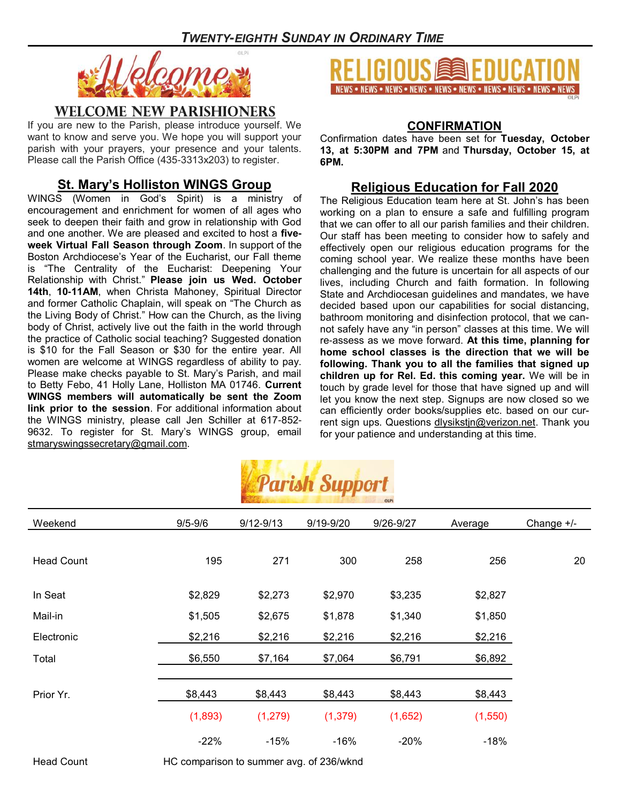

# **WELCOME NEW PARISHIONERS**

If you are new to the Parish, please introduce yourself. We want to know and serve you. We hope you will support your parish with your prayers, your presence and your talents. Please call the Parish Office (435-3313x203) to register.

# **St. Mary's Holliston WINGS Group**

WINGS (Women in God's Spirit) is a ministry of encouragement and enrichment for women of all ages who seek to deepen their faith and grow in relationship with God and one another. We are pleased and excited to host a **fiveweek Virtual Fall Season through Zoom**. In support of the Boston Archdiocese's Year of the Eucharist, our Fall theme is "The Centrality of the Eucharist: Deepening Your Relationship with Christ." **Please join us Wed. October 14th**, **10-11AM**, when Christa Mahoney, Spiritual Director and former Catholic Chaplain, will speak on "The Church as the Living Body of Christ." How can the Church, as the living body of Christ, actively live out the faith in the world through the practice of Catholic social teaching? Suggested donation is \$10 for the Fall Season or \$30 for the entire year. All women are welcome at WINGS regardless of ability to pay. Please make checks payable to St. Mary's Parish, and mail to Betty Febo, 41 Holly Lane, Holliston MA 01746. **Current WINGS members will automatically be sent the Zoom link prior to the session**. For additional information about the WINGS ministry, please call Jen Schiller at 617-852- 9632. To register for St. Mary's WINGS group, email [stmaryswingssecretary@gmail.com.](mailto:stmaryswingssecretary@gmail.com)



### **CONFIRMATION**

Confirmation dates have been set for **Tuesday, October 13, at 5:30PM and 7PM** and **Thursday, October 15, at 6PM.**

# **Religious Education for Fall 2020**

The Religious Education team here at St. John's has been working on a plan to ensure a safe and fulfilling program that we can offer to all our parish families and their children. Our staff has been meeting to consider how to safely and effectively open our religious education programs for the coming school year. We realize these months have been challenging and the future is uncertain for all aspects of our lives, including Church and faith formation. In following State and Archdiocesan guidelines and mandates, we have decided based upon our capabilities for social distancing, bathroom monitoring and disinfection protocol, that we cannot safely have any "in person" classes at this time. We will re-assess as we move forward. **At this time, planning for home school classes is the direction that we will be following. Thank you to all the families that signed up children up for Rel. Ed. this coming year.** We will be in touch by grade level for those that have signed up and will let you know the next step. Signups are now closed so we can efficiently order books/supplies etc. based on our current sign ups. Questions [dlysikstjn@verizon.net.](mailto:dlysikstjn@verizon.net) Thank you for your patience and understanding at this time.



| Weekend           | $9/5 - 9/6$ | $9/12 - 9/13$ | 9/19-9/20 | 9/26-9/27 | Average | Change $+/-$ |
|-------------------|-------------|---------------|-----------|-----------|---------|--------------|
|                   |             |               |           |           |         |              |
| <b>Head Count</b> | 195         | 271           | 300       | 258       | 256     | 20           |
|                   |             |               |           |           |         |              |
| In Seat           | \$2,829     | \$2,273       | \$2,970   | \$3,235   | \$2,827 |              |
| Mail-in           | \$1,505     | \$2,675       | \$1,878   | \$1,340   | \$1,850 |              |
| Electronic        | \$2,216     | \$2,216       | \$2,216   | \$2,216   | \$2,216 |              |
| Total             | \$6,550     | \$7,164       | \$7,064   | \$6,791   | \$6,892 |              |
|                   |             |               |           |           |         |              |
| Prior Yr.         | \$8,443     | \$8,443       | \$8,443   | \$8,443   | \$8,443 |              |
|                   | (1,893)     | (1, 279)      | (1, 379)  | (1,652)   | (1,550) |              |
|                   | $-22%$      | $-15%$        | $-16%$    | $-20%$    | $-18%$  |              |

Head Count HC comparison to summer avg. of 236/wknd